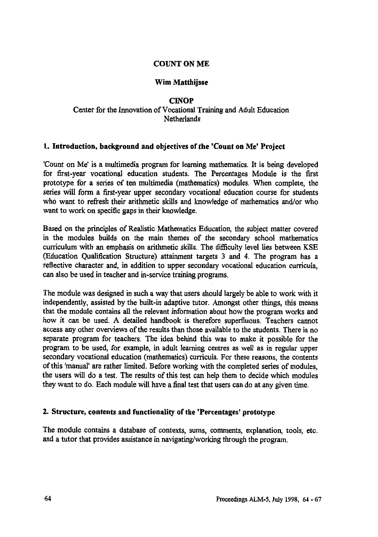## **COUNT ON ME**

# **Wim Matthijsse**

#### **CINOP Center for the Innovation of Vocational Training and Adult Education Netherlands**

## **1. Introduction, background and objectives of the 'Count on Me' Project**

**'Count on Me' is a multimedia program for learning mathematics. It is being developed for first-year vocational education students. The Percentages Module is the first prototype for a series of ten multimedia (mathematics) modules. When complete, the series will form a first-year upper secondary vocational education course for students who want to refresh their arithmetic skills and knowledge of mathematics and/or who want to work on specific gaps in their knowledge.**

**Based on the principles of Realistic Mathematics Education, the subject matter covered in the modules builds on the main themes of the secondary school mathematics curriculum with an emphasis on arithmetic skills. The difficulty level lies between KSE (Education Qualification Structure) attainment targets 3 and 4. The program has a reflective character and, in addition to upper secondary vocational education curricula, can also be used in teacher and in-service training programs.**

**The module was designed in such a way that users should largely be able to work with it independently, assisted by the built-in adaptive tutor. Amongst other things, this means that the module contains all the relevant information about how the program works and how it can be used. A detailed handbook is therefore superfluous. Teachers cannot access any other overviews of the results than those available to the students. There is no separate program for teachers. The idea behind this was to make it possible for the program to be used, for example, in adult learning centres as well as in regular upper secondary vocational education (mathematics) curricula. For these reasons, the contents of this 'manual' are rather limited\_ Before working with the completed series of modules, the users will do a test. The results of this test can help them to decide which modules they want to do. Each module will have a final test that users can do at any given time.**

## **2. Structure, contents and functionality of the 'Percentages' prototype**

**The module contains a database of contexts, sums, comments, explanation, tools, etc. and a tutor that provides assistance in navigating/working through the program.**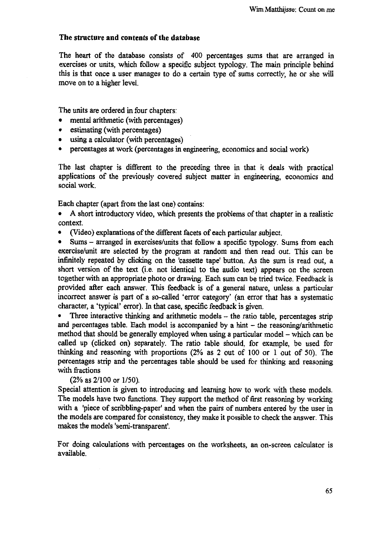#### **The structure and contents of the database**

The heart of the database consists of 400 percentages sums that are arranged in exercises or units, which follow a specific subject typology. The main principle behind this is that once a user manages to do a certain type of sums correctly, he or she will move on to a higher level.

The units are ordered in four chapters:

- mental arithmetic (with percentages)
- estimating (with percentages)
- using a calculator (with percentages)
- percentages at work (percentages in engineering, economics and social work)

The last chapter is different to the preceding three in that it deals with practical applications of the previously covered subject matter in engineering, economics and social work.

Each chapter (apart from the last one) contains:

- A short introductory video, which presents the problems of that chapter in a realistic context.
- (Video) explanations of the different facets of each particular subject.

• Sums — arranged in exercises/units that follow a specific typology. Sums from each exercise/unit are selected by the program at random and then read out. This can be infinitely repeated by clicking on the 'cassette tape' button. As the sum is read out, a short version of the text (i.e. not identical to the audio text) appears on the screen together with an appropriate photo or drawing. Each sum can be tried twice. Feedback is provided after each answer. This feedback is of a general nature, unless a particular incorrect answer is part of a so-called 'error category' (an error that has a systematic character, a 'typical' error). In that case, specific feedback is given.

• Three interactive thinking and arithmetic models – the ratio table, percentages strip and percentages table. Each model is accompanied by a hint — the reasoning/arithmetic method that should be generally employed when using a particular model — which can be called up (clicked on) separately. The ratio table should, for example, be used for thinking and reasoning with proportions (2% as 2 out of 100 or 1 out of 50). The percentages strip and the percentages table should be used for thinking and reasoning with fractions

(2% as 2/100 or 1/50).

Special attention is given to introducing and learning how to work with these models. The models have two functions. They support the method of first reasoning by working with a 'piece of scribbling-paper' and when the pairs of numbers entered by the user in the models are compared for consistency, they make it possible to check the answer. This makes the models 'semi-transparent'.

For doing calculations with percentages on the worksheets, an on-screen calculator is available.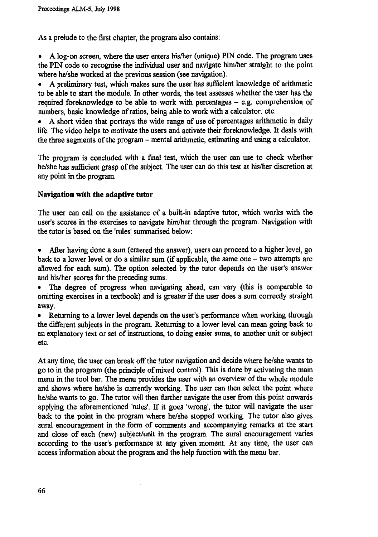**As a prelude to the first chapter, the program also contains:**

**• A log-on screen, where the user enters his/her (unique) PIN code. The program uses the PIN code to recognise the individual user and navigate him/her straight to the point where he/she worked at the previous session (see navigation).**

**• A preliminary test, which makes sure the user has sufficient knowledge of arithmetic to be able to start the module. In other words, the test assesses whether the user has the required foreknowledge to be able to work with percentages — e.g. comprehension of numbers, basic knowledge of ratios, being able to work with a calculator. etc.**

**• A short video that portrays the wide range of use of percentages arithmetic in daily life. The video helps to motivate the users and activate their foreknowledge. It deals with the three segments of the program — mental arithmetic, estimating and using a calculator.**

**The program is concluded with a final test, which the user can use to check whether he/she has sufficient grasp of the subject. The user can do this test at his/her discretion at any point in the program.**

## **Navigation with the adaptive tutor**

**The user can call on the assistance of a built-in adaptive tutor, which works with the user's scores in the exercises to navigate him/her through the program. Navigation with the tutor is based on the 'rules' summarised below:**

**• After having done a sum (entered the answer), users can proceed to a higher level, go back to a lower level or do a similar sum (if applicable, the same one — two attempts are allowed for each sum). The option selected by the tutor depends on the user's answer and his/her scores for the preceding sums.**

**• The degree of progress when navigating ahead, can vary (this is comparable to omitting exercises in a textbook) and is greater if the user does a sum correctly straight away.**

**• Returning to a lower level depends on the user's performance when working through the different subjects in the program. Returning to a lower level can mean going back to an explanatory text or set of instructions, to doing easier sums, to another unit or subject etc.**

**At any time, the user can break off the tutor navigation and decide where he/she wants to go to in the program (the principle of mixed control). This is done by activating the main menu in the tool bar. The menu provides the user with an overview of the whole module and shows where he/she is currently working. The user can then select the point where he/she wants to go. The tutor will then further navigate the user from this point onwards applying the aforementioned 'rules'. If it goes 'wrong', the tutor will navigate the user back to the point in the program where he/she stopped working. The tutor also gives aural encouragement in the form of comments and accompanying remarks at the start and close of each (new) subject/unit in the program. The aural encouragement varies according to the user's performance at any given moment. At any time, the user can access information about the program and the help function with the menu bar.**